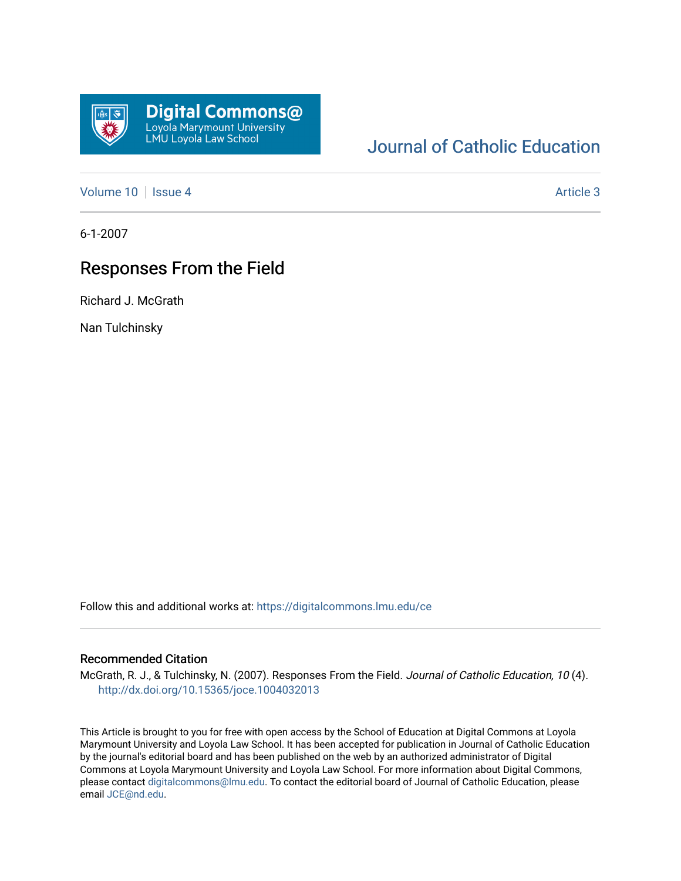

# [Journal of Catholic Education](https://digitalcommons.lmu.edu/ce)

[Volume 10](https://digitalcommons.lmu.edu/ce/vol10) | [Issue 4](https://digitalcommons.lmu.edu/ce/vol10/iss4) Article 3

6-1-2007

## Responses From the Field

Richard J. McGrath

Nan Tulchinsky

Follow this and additional works at: [https://digitalcommons.lmu.edu/ce](https://digitalcommons.lmu.edu/ce?utm_source=digitalcommons.lmu.edu%2Fce%2Fvol10%2Fiss4%2F3&utm_medium=PDF&utm_campaign=PDFCoverPages)

### Recommended Citation

McGrath, R. J., & Tulchinsky, N. (2007). Responses From the Field. Journal of Catholic Education, 10 (4). <http://dx.doi.org/10.15365/joce.1004032013>

This Article is brought to you for free with open access by the School of Education at Digital Commons at Loyola Marymount University and Loyola Law School. It has been accepted for publication in Journal of Catholic Education by the journal's editorial board and has been published on the web by an authorized administrator of Digital Commons at Loyola Marymount University and Loyola Law School. For more information about Digital Commons, please contact [digitalcommons@lmu.edu](mailto:digitalcommons@lmu.edu). To contact the editorial board of Journal of Catholic Education, please email [JCE@nd.edu](mailto:JCE@nd.edu).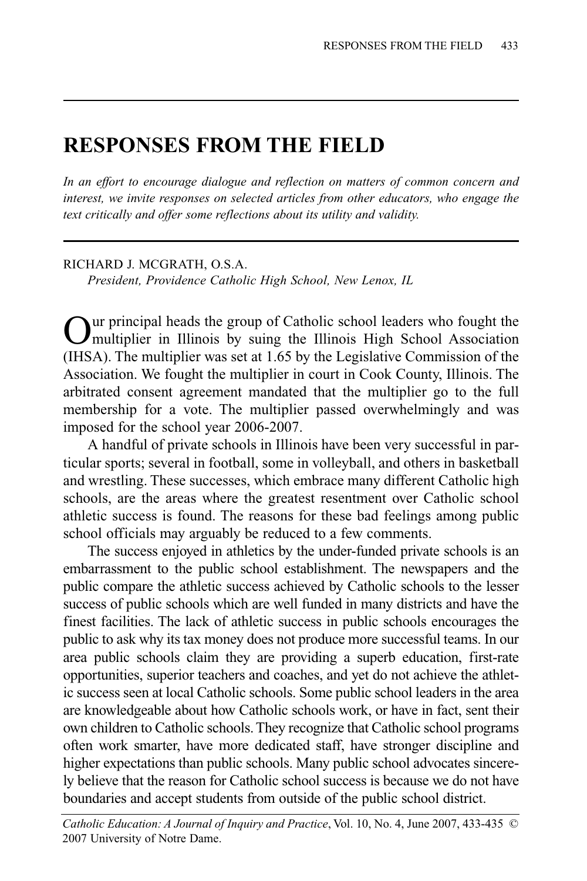### **RESPONSES FROM THE FIELD**

*In an effort to encourage dialogue and reflection on matters of common concern and interest, we invite responses on selected articles from other educators, who engage the text critically and offer some reflections about its utility and validity.*

#### RICHARD J. MCGRATH, O.S.A.

*President, Providence Catholic High School, New Lenox, IL*

Uur principal heads the group of Catholic school leaders who fought the multiplier in Illinois by suing the Illinois High School Association (IHSA). The multiplier was set at 1.65 by the Legislative Commission of the Association. We fought the multiplier in court in Cook County, Illinois. The arbitrated consent agreement mandated that the multiplier go to the full membership for a vote. The multiplier passed overwhelmingly and was imposed for the school year 2006-2007.

A handful of private schools in Illinois have been very successful in particular sports; several in football, some in volleyball, and others in basketball and wrestling. These successes, which embrace many different Catholic high schools, are the areas where the greatest resentment over Catholic school athletic success is found. The reasons for these bad feelings among public school officials may arguably be reduced to a few comments.

The success enjoyed in athletics by the under-funded private schools is an embarrassment to the public school establishment. The newspapers and the public compare the athletic success achieved by Catholic schools to the lesser success of public schools which are well funded in many districts and have the finest facilities. The lack of athletic success in public schools encourages the public to ask why its tax money does not produce more successful teams. In our area public schools claim they are providing a superb education, first-rate opportunities, superior teachers and coaches, and yet do not achieve the athletic success seen at local Catholic schools. Some public school leaders in the area are knowledgeable about how Catholic schools work, or have in fact, sent their own children to Catholic schools. They recognize that Catholic school programs often work smarter, have more dedicated staff, have stronger discipline and higher expectations than public schools. Many public school advocates sincerely believe that the reason for Catholic school success is because we do not have boundaries and accept students from outside of the public school district.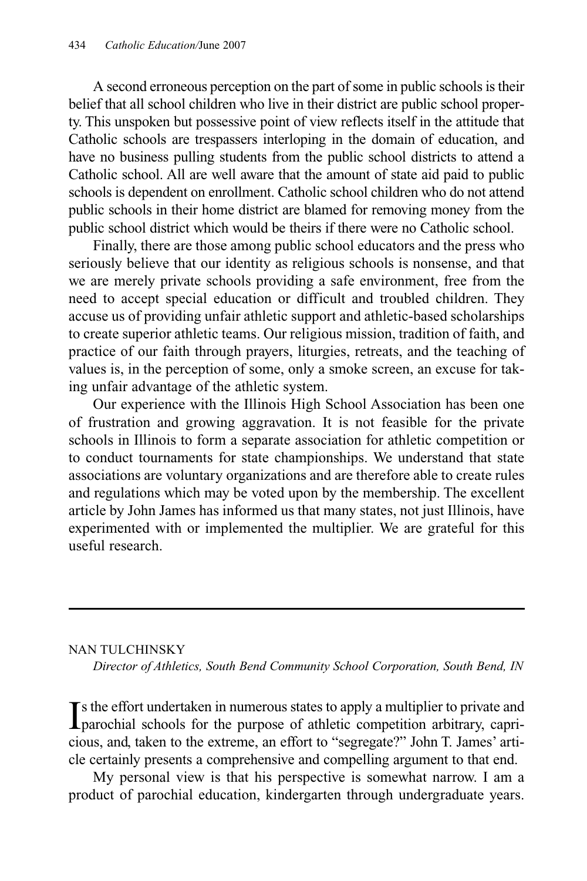A second erroneous perception on the part of some in public schools is their belief that all school children who live in their district are public school property. This unspoken but possessive point of view reflects itself in the attitude that Catholic schools are trespassers interloping in the domain of education, and have no business pulling students from the public school districts to attend a Catholic school. All are well aware that the amount of state aid paid to public schools is dependent on enrollment. Catholic school children who do not attend public schools in their home district are blamed for removing money from the public school district which would be theirs if there were no Catholic school.

Finally, there are those among public school educators and the press who seriously believe that our identity as religious schools is nonsense, and that we are merely private schools providing a safe environment, free from the need to accept special education or difficult and troubled children. They accuse us of providing unfair athletic support and athletic-based scholarships to create superior athletic teams. Our religious mission, tradition of faith, and practice of our faith through prayers, liturgies, retreats, and the teaching of values is, in the perception of some, only a smoke screen, an excuse for taking unfair advantage of the athletic system.

Our experience with the Illinois High School Association has been one of frustration and growing aggravation. It is not feasible for the private schools in Illinois to form a separate association for athletic competition or to conduct tournaments for state championships. We understand that state associations are voluntary organizations and are therefore able to create rules and regulations which may be voted upon by the membership. The excellent article by John James has informed us that many states, not just Illinois, have experimented with or implemented the multiplier. We are grateful for this useful research.

### NAN TULCHINSKY

*Director of Athletics, South Bend Community School Corporation, South Bend, IN*

If the effort undertaken in numerous states to apply a multiplier to private and parochial schools for the purpose of athletic competition arbitrary, capri-**T**s the effort undertaken in numerous states to apply a multiplier to private and cious, and, taken to the extreme, an effort to "segregate?" John T. James' article certainly presents a comprehensive and compelling argument to that end.

My personal view is that his perspective is somewhat narrow. I am a product of parochial education, kindergarten through undergraduate years.